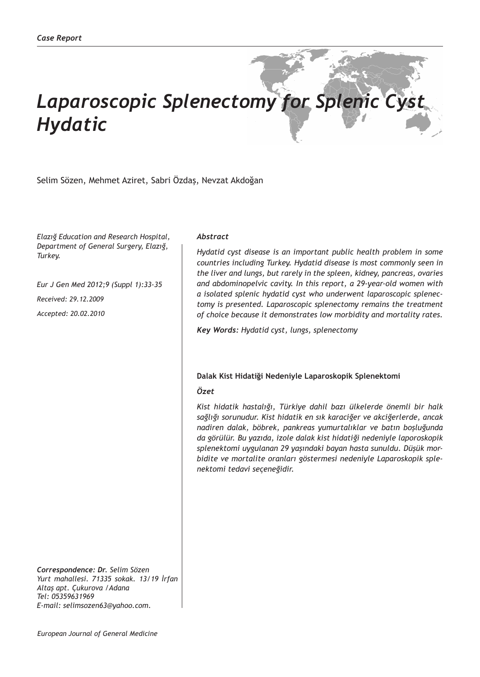# *Laparoscopic Splenectomy for Splenic Cyst Hydatic*

Selim Sözen, Mehmet Aziret, Sabri Özdaş, Nevzat Akdoğan

*Elazığ Education and Research Hospital, Department of General Surgery, Elazığ, Turkey.*

*Eur J Gen Med 2012;9 (Suppl 1):33-35*

*Received: 29.12.2009*

*Accepted: 20.02.2010*

*Correspondence: Dr. Selim Sözen Yurt mahallesi. 71335 sokak. 13/19 İrfan Altaş apt. Çukurova /Adana Tel: 05359631969 E-mail: selimsozen63@yahoo.com.*

### *Abstract*

*Hydatid cyst disease is an important public health problem in some countries including Turkey. Hydatid disease is most commonly seen in the liver and lungs, but rarely in the spleen, kidney, pancreas, ovaries and abdominopelvic cavity. In this report, a 29-year-old women with a isolated splenic hydatid cyst who underwent laparoscopic splenectomy is presented. Laparoscopic splenectomy remains the treatment of choice because it demonstrates low morbidity and mortality rates.*

*Key Words: Hydatid cyst, lungs, splenectomy*

# **Dalak Kist Hidatiği Nedeniyle Laparoskopik Splenektomi**

# *Özet*

*Kist hidatik hastalığı, Türkiye dahil bazı ülkelerde önemli bir halk sağlığı sorunudur. Kist hidatik en sık karaciğer ve akciğerlerde, ancak nadiren dalak, böbrek, pankreas yumurtalıklar ve batın boşluğunda da görülür. Bu yazıda, izole dalak kist hidatiği nedeniyle laporoskopik splenektomi uygulanan 29 yaşındaki bayan hasta sunuldu. Düşük morbidite ve mortalite oranları göstermesi nedeniyle Laparoskopik splenektomi tedavi seçeneğidir.*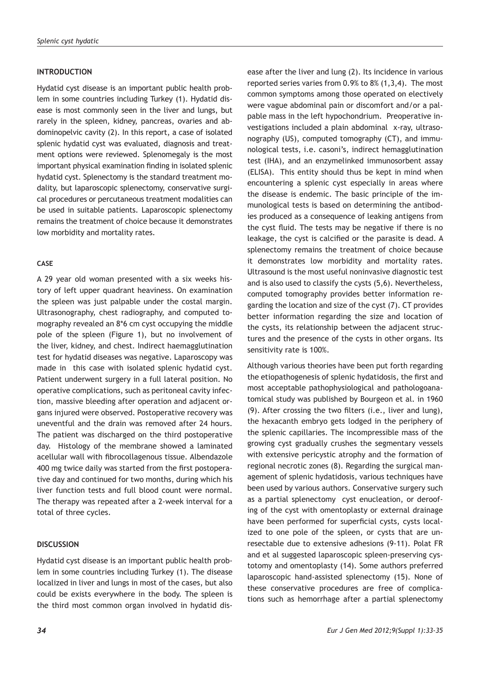# **INTRODUCTION**

Hydatid cyst disease is an important public health problem in some countries including Turkey (1). Hydatid disease is most commonly seen in the liver and lungs, but rarely in the spleen, kidney, pancreas, ovaries and abdominopelvic cavity (2). In this report, a case of isolated splenic hydatid cyst was evaluated, diagnosis and treatment options were reviewed. Splenomegaly is the most important physical examination finding in isolated splenic hydatid cyst. Splenectomy is the standard treatment modality, but laparoscopic splenectomy, conservative surgical procedures or percutaneous treatment modalities can be used in suitable patients. Laparoscopic splenectomy remains the treatment of choice because it demonstrates low morbidity and mortality rates.

### **CASE**

A 29 year old woman presented with a six weeks history of left upper quadrant heaviness. On examination the spleen was just palpable under the costal margin. Ultrasonography, chest radiography, and computed tomography revealed an 8\*6 cm cyst occupying the middle pole of the spleen (Figure 1), but no involvement of the liver, kidney, and chest. Indirect haemagglutination test for hydatid diseases was negative. Laparoscopy was made in this case with isolated splenic hydatid cyst. Patient underwent surgery in a full lateral position. No operative complications, such as peritoneal cavity infection, massive bleeding after operation and adjacent organs injured were observed. Postoperative recovery was uneventful and the drain was removed after 24 hours. The patient was discharged on the third postoperative day. Histology of the membrane showed a laminated acellular wall with fibrocollagenous tissue. Albendazole 400 mg twice daily was started from the first postoperative day and continued for two months, during which his liver function tests and full blood count were normal. The therapy was repeated after a 2-week interval for a total of three cycles.

#### **DISCUSSION**

Hydatid cyst disease is an important public health problem in some countries including Turkey (1). The disease localized in liver and lungs in most of the cases, but also could be exists everywhere in the body. The spleen is the third most common organ involved in hydatid disease after the liver and lung (2). Its incidence in various reported series varies from 0.9% to 8% (1,3,4). The most common symptoms among those operated on electively were vague abdominal pain or discomfort and/or a palpable mass in the left hypochondrium. Preoperative investigations included a plain abdominal x-ray, ultrasonography (US), computed tomography (CT), and immunological tests, i.e. casoni's, indirect hemagglutination test (IHA), and an enzymelinked immunosorbent assay (ELISA). This entity should thus be kept in mind when encountering a splenic cyst especially in areas where the disease is endemic. The basic principle of the immunological tests is based on determining the antibodies produced as a consequence of leaking antigens from the cyst fluid. The tests may be negative if there is no leakage, the cyst is calcified or the parasite is dead. A splenectomy remains the treatment of choice because it demonstrates low morbidity and mortality rates. Ultrasound is the most useful noninvasive diagnostic test and is also used to classify the cysts (5,6). Nevertheless, computed tomography provides better information regarding the location and size of the cyst (7). CT provides better information regarding the size and location of the cysts, its relationship between the adjacent structures and the presence of the cysts in other organs. Its sensitivity rate is 100%.

Although various theories have been put forth regarding the etiopathogenesis of splenic hydatidosis, the first and most acceptable pathophysiological and pathologoanatomical study was published by Bourgeon et al. in 1960 (9). After crossing the two filters (i.e., liver and lung), the hexacanth embryo gets lodged in the periphery of the splenic capillaries. The incompressible mass of the growing cyst gradually crushes the segmentary vessels with extensive pericystic atrophy and the formation of regional necrotic zones (8). Regarding the surgical management of splenic hydatidosis, various techniques have been used by various authors. Conservative surgery such as a partial splenectomy cyst enucleation, or deroofing of the cyst with omentoplasty or external drainage have been performed for superficial cysts, cysts localized to one pole of the spleen, or cysts that are unresectable due to extensive adhesions (9-11). Polat FR and et al suggested laparoscopic spleen-preserving cystotomy and omentoplasty (14). Some authors preferred laparoscopic hand-assisted splenectomy (15). None of these conservative procedures are free of complications such as hemorrhage after a partial splenectomy